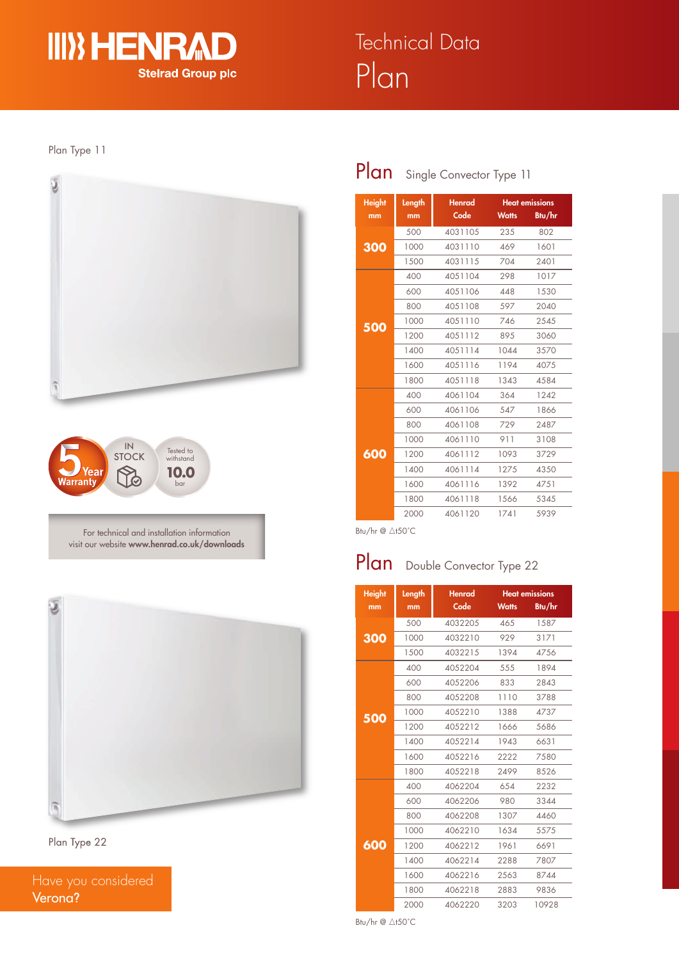

### Plan Type 11





For technical and installation information visit our website **www.henrad.co.uk/downloads**



Plan Type 22

Have you considered Verona**?**

### Plan Single Convector Type 11

| <b>Height</b> | Length<br><b>Henrad</b> |         | <b>Heat emissions</b> |        |
|---------------|-------------------------|---------|-----------------------|--------|
| mm            | mm                      | Code    | <b>Watts</b>          | Btu/hr |
|               | 500                     | 4031105 | 235                   | 802    |
| 300           | 1000                    | 4031110 | 469                   | 1601   |
|               | 1500                    | 4031115 | 704                   | 2401   |
|               | 400                     | 4051104 | 298                   | 1017   |
|               | 600                     | 4051106 | 448                   | 1530   |
|               | 800                     | 4051108 | 597                   | 2040   |
| 500           | 1000                    | 4051110 | 746                   | 2545   |
|               | 1200                    | 4051112 | 895                   | 3060   |
|               | 1400                    | 4051114 | 1044                  | 3570   |
|               | 1600                    | 4051116 | 1194                  | 4075   |
|               | 1800                    | 4051118 | 1343                  | 4584   |
|               | 400                     | 4061104 | 364                   | 1242   |
|               | 600                     | 4061106 | 547                   | 1866   |
|               | 800                     | 4061108 | 729                   | 2487   |
|               | 1000                    | 4061110 | 911                   | 3108   |
| 600           | 1200                    | 4061112 | 1093                  | 3729   |
|               | 1400                    | 4061114 | 1275                  | 4350   |
|               | 1600                    | 4061116 | 1392                  | 4751   |
|               | 1800                    | 4061118 | 1566                  | 5345   |
|               | 2000                    | 4061120 | 1741                  | 5939   |

Btu/hr  $@ \triangle$ t50°C

## Plan Double Convector Type 22

| <b>Height</b> | Length | <b>Henrad</b> |              | <b>Heat emissions</b> |
|---------------|--------|---------------|--------------|-----------------------|
| mm            | mm     | Code          | <b>Watts</b> | Btu/hr                |
|               | 500    | 4032205       | 465          | 1587                  |
| 300           | 1000   | 4032210       | 929          | 3171                  |
|               | 1500   | 4032215       | 1394         | 4756                  |
|               | 400    | 4052204       | 555          | 1894                  |
|               | 600    | 4052206       | 833          | 2843                  |
|               | 800    | 4052208       | 1110         | 3788                  |
| 500           | 1000   | 4052210       | 1388         | 4737                  |
|               | 1200   | 4052212       | 1666         | 5686                  |
|               | 1400   | 4052214       | 1943         | 6631                  |
|               | 1600   | 4052216       | 2222         | 7580                  |
|               | 1800   | 4052218       | 2499         | 8526                  |
|               | 400    | 4062204       | 654          | 2232                  |
|               | 600    | 4062206       | 980          | 3344                  |
|               | 800    | 4062208       | 1307         | 4460                  |
|               | 1000   | 4062210       | 1634         | 5575                  |
| 600           | 1200   | 4062212       | 1961         | 6691                  |
|               | 1400   | 4062214       | 2288         | 7807                  |
|               | 1600   | 4062216       | 2563         | 8744                  |
|               | 1800   | 4062218       | 2883         | 9836                  |
|               | 2000   | 4062220       | 3203         | 10928                 |

Btu/hr  $@ \triangle$ t50°C